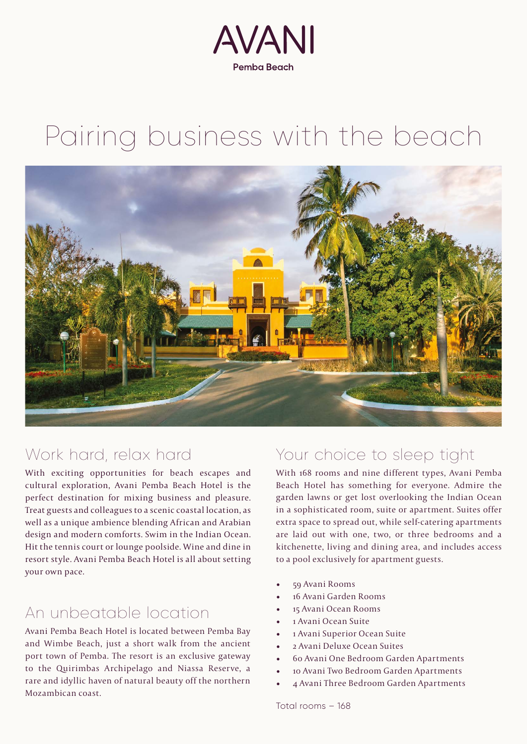

# Pairing business with the beach



## Work hard, relax hard

With exciting opportunities for beach escapes and cultural exploration, Avani Pemba Beach Hotel is the perfect destination for mixing business and pleasure. Treat guests and colleagues to a scenic coastal location, as well as a unique ambience blending African and Arabian design and modern comforts. Swim in the Indian Ocean. Hit the tennis court or lounge poolside. Wine and dine in resort style. Avani Pemba Beach Hotel is all about setting your own pace.

## An unbeatable location

Avani Pemba Beach Hotel is located between Pemba Bay and Wimbe Beach, just a short walk from the ancient port town of Pemba. The resort is an exclusive gateway to the Quirimbas Archipelago and Niassa Reserve, a rare and idyllic haven of natural beauty off the northern Mozambican coast.

#### Your choice to sleep tight

With 168 rooms and nine different types, Avani Pemba Beach Hotel has something for everyone. Admire the garden lawns or get lost overlooking the Indian Ocean in a sophisticated room, suite or apartment. Suites offer extra space to spread out, while self-catering apartments are laid out with one, two, or three bedrooms and a kitchenette, living and dining area, and includes access to a pool exclusively for apartment guests.

- 59 Avani Rooms
- 16 Avani Garden Rooms
- 15 Avani Ocean Rooms
- 1 Avani Ocean Suite
- 1 Avani Superior Ocean Suite
- 2 Avani Deluxe Ocean Suites
- 60 Avani One Bedroom Garden Apartments
- 10 Avani Two Bedroom Garden Apartments
- 4 Avani Three Bedroom Garden Apartments